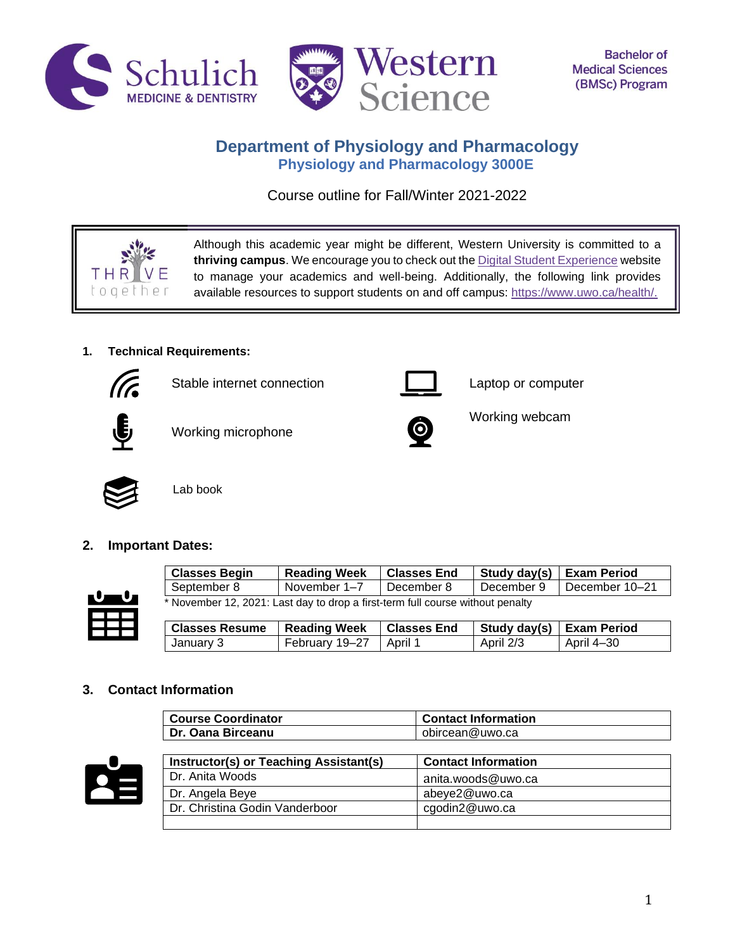



# **Department of Physiology and Pharmacology Physiology and Pharmacology 3000E**

Course outline for Fall/Winter 2021-2022

Although this academic year might be different, Western University is committed to a **thriving campus**. We encourage you to check out th[e Digital Student Experience](https://www.uwo.ca/se/digital/) website to manage your academics and well-being. Additionally, the following link provides available resources to support students on and off campus: [https://www.uwo.ca/health/.](https://www.uwo.ca/health/)

Working webcam

## **1. Technical Requirements:**



Stable internet connection **Laptop** computer



THR toge

Working microphone



Lab book

### **2. Important Dates:**



| <b>Classes Begin</b>                                                           | <b>Reading Week</b> | <b>Classes End</b> | Study day(s)   Exam Period |                  |
|--------------------------------------------------------------------------------|---------------------|--------------------|----------------------------|------------------|
| I September 8                                                                  | November 1–7        | December 8         | December 9                 | l December 10–21 |
| * November 12, 2021: Last day to drop a first-term full course without penalty |                     |                    |                            |                  |

| <b>Classes Resume</b>   Reading Week |                | <b>∣ Classes End</b> | Study day(s)   Exam Period |            |
|--------------------------------------|----------------|----------------------|----------------------------|------------|
| January 3                            | February 19–27 | April 1              | April 2/3                  | April 4–30 |

### **3. Contact Information**

| <b>Course Coordinator</b> | <b>Contact Information</b> |
|---------------------------|----------------------------|
| Dr. Oana Birceanu         | obircean@uwo.ca            |



| Instructor(s) or Teaching Assistant(s) | <b>Contact Information</b> |
|----------------------------------------|----------------------------|
| Dr. Anita Woods                        | anita.woods@uwo.ca         |
| Dr. Angela Beye                        | abeye2@uwo.ca              |
| Dr. Christina Godin Vanderboor         | cgodin2@uwo.ca             |
|                                        |                            |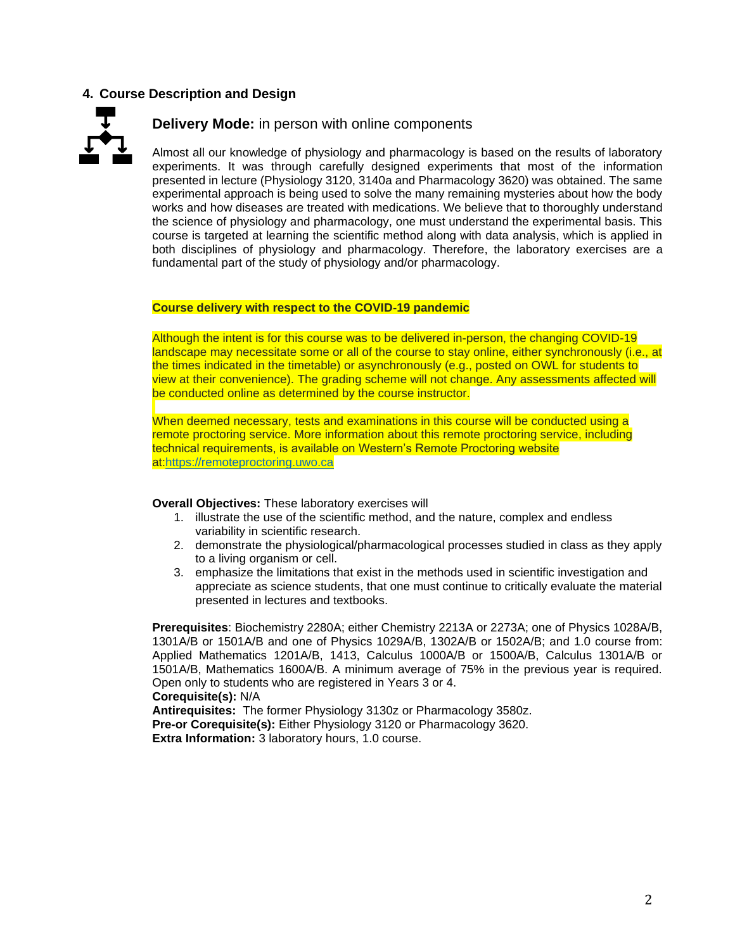### **4. Course Description and Design**



### **Delivery Mode:** in person with online components

Almost all our knowledge of physiology and pharmacology is based on the results of laboratory experiments. It was through carefully designed experiments that most of the information presented in lecture (Physiology 3120, 3140a and Pharmacology 3620) was obtained. The same experimental approach is being used to solve the many remaining mysteries about how the body works and how diseases are treated with medications. We believe that to thoroughly understand the science of physiology and pharmacology, one must understand the experimental basis. This course is targeted at learning the scientific method along with data analysis, which is applied in both disciplines of physiology and pharmacology. Therefore, the laboratory exercises are a fundamental part of the study of physiology and/or pharmacology.

#### **Course delivery with respect to the COVID-19 pandemic**

Although the intent is for this course was to be delivered in-person, the changing COVID-19 landscape may necessitate some or all of the course to stay online, either synchronously (i.e., at the times indicated in the timetable) or asynchronously (e.g., posted on OWL for students to view at their convenience). The grading scheme will not change. Any assessments affected will be conducted online as determined by the course instructor.

When deemed necessary, tests and examinations in this course will be conducted using a remote proctoring service. More information about this remote proctoring service, including technical requirements, is available on Western's Remote Proctoring website at[:https://remoteproctoring.uwo.ca](https://remoteproctoring.uwo.ca/)

### **Overall Objectives:** These laboratory exercises will

- 1. illustrate the use of the scientific method, and the nature, complex and endless variability in scientific research.
- 2. demonstrate the physiological/pharmacological processes studied in class as they apply to a living organism or cell.
- 3. emphasize the limitations that exist in the methods used in scientific investigation and appreciate as science students, that one must continue to critically evaluate the material presented in lectures and textbooks.

**Prerequisites**: Biochemistry 2280A; either Chemistry 2213A or 2273A; one of Physics 1028A/B, 1301A/B or 1501A/B and one of Physics 1029A/B, 1302A/B or 1502A/B; and 1.0 course from: Applied Mathematics 1201A/B, 1413, Calculus 1000A/B or 1500A/B, Calculus 1301A/B or 1501A/B, Mathematics 1600A/B. A minimum average of 75% in the previous year is required. Open only to students who are registered in Years 3 or 4. **Corequisite(s):** N/A

**Antirequisites:** The former Physiology 3130z or Pharmacology 3580z. **Pre-or Corequisite(s):** Either Physiology 3120 or Pharmacology 3620. **Extra Information:** 3 laboratory hours, 1.0 course.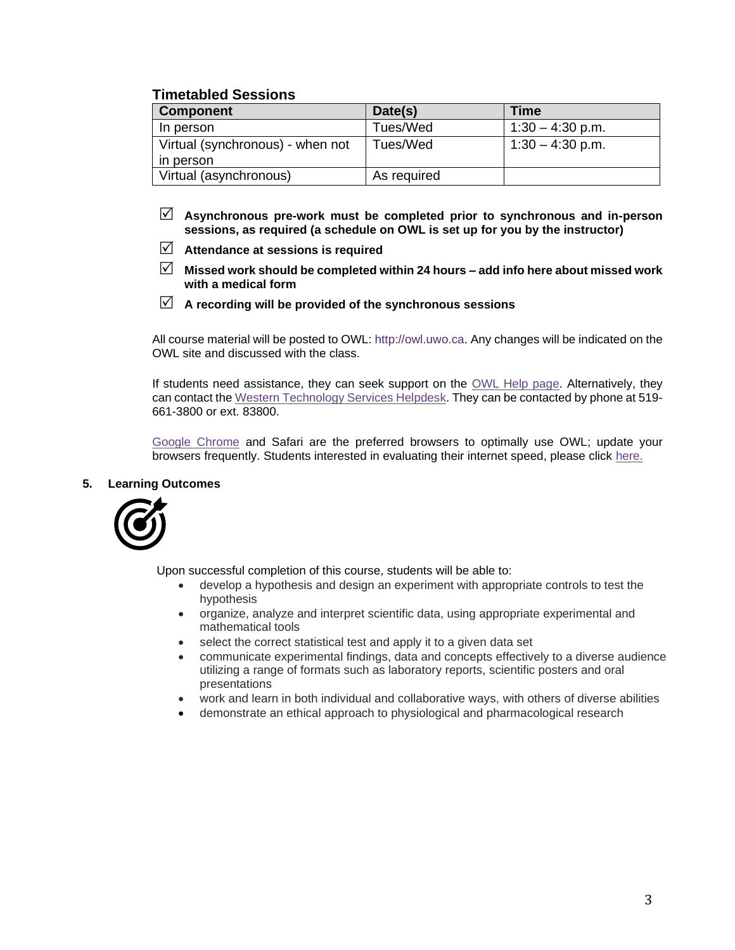## **Timetabled Sessions**

| <b>Component</b>                 | Date(s)     | Time               |
|----------------------------------|-------------|--------------------|
| In person                        | Tues/Wed    | $1:30 - 4:30$ p.m. |
| Virtual (synchronous) - when not | Tues/Wed    | $1:30 - 4:30$ p.m. |
| in person                        |             |                    |
| Virtual (asynchronous)           | As required |                    |

- **Asynchronous pre-work must be completed prior to synchronous and in-person sessions, as required (a schedule on OWL is set up for you by the instructor)**
- **Attendance at sessions is required**
- **Missed work should be completed within 24 hours – add info here about missed work with a medical form**
- **A recording will be provided of the synchronous sessions**

All course material will be posted to OWL: http://owl.uwo.ca. Any changes will be indicated on the OWL site and discussed with the class.

If students need assistance, they can seek support on the [OWL Help page.](https://owlhelp.uwo.ca/students/index.html) Alternatively, they can contact the [Western Technology Services Helpdesk.](https://wts.uwo.ca/helpdesk/) They can be contacted by phone at 519- 661-3800 or ext. 83800.

[Google Chrome](https://www.google.ca/chrome/?brand=CHBD&gclid=CjwKCAjwxLH3BRApEiwAqX9arfg8JaH6fWGASk9bHTkfW_dyBir93A1-TliP-7u1Kguf-WZsoGAPhBoC9NYQAvD_BwE&gclsrc=aw.ds) and Safari are the preferred browsers to optimally use OWL; update your browsers frequently. Students interested in evaluating their internet speed, please click [here.](https://www.google.com/search?q=internet+speed+test+google&rlz=1C5CHFA_enCA702CA702&oq=internet+speed+test+google&aqs=chrome..69i57j0l7.3608j0j4&sourceid=chrome&ie=UTF-8)

### **5. Learning Outcomes**



Upon successful completion of this course, students will be able to:

- develop a hypothesis and design an experiment with appropriate controls to test the hypothesis
- organize, analyze and interpret scientific data, using appropriate experimental and mathematical tools
- select the correct statistical test and apply it to a given data set
- communicate experimental findings, data and concepts effectively to a diverse audience utilizing a range of formats such as laboratory reports, scientific posters and oral presentations
- work and learn in both individual and collaborative ways, with others of diverse abilities
- demonstrate an ethical approach to physiological and pharmacological research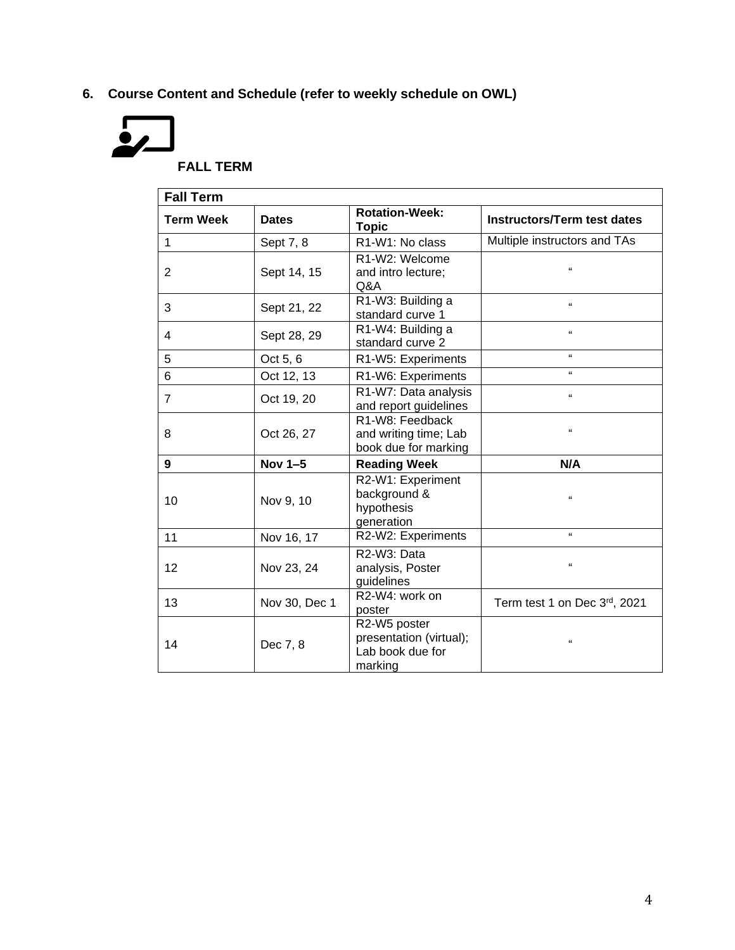**6. Course Content and Schedule (refer to weekly schedule on OWL)**



**FALL TERM**

| <b>Fall Term</b> |               |                                                                        |                                    |
|------------------|---------------|------------------------------------------------------------------------|------------------------------------|
| <b>Term Week</b> | <b>Dates</b>  | <b>Rotation-Week:</b><br><b>Topic</b>                                  | <b>Instructors/Term test dates</b> |
| $\mathbf 1$      | Sept 7, 8     | R <sub>1</sub> -W <sub>1</sub> : No class                              | Multiple instructors and TAs       |
| $\overline{2}$   | Sept 14, 15   | R1-W2: Welcome<br>and intro lecture;<br>Q&A                            | $\alpha$                           |
| 3                | Sept 21, 22   | R1-W3: Building a<br>standard curve 1                                  | $\alpha$                           |
| 4                | Sept 28, 29   | R1-W4: Building a<br>standard curve 2                                  | $\alpha$                           |
| 5                | Oct 5, 6      | R1-W5: Experiments                                                     | $\alpha$                           |
| 6                | Oct 12, 13    | R1-W6: Experiments                                                     | $\alpha$                           |
| $\overline{7}$   | Oct 19, 20    | R1-W7: Data analysis<br>and report guidelines                          | $\alpha$                           |
| 8                | Oct 26, 27    | R1-W8: Feedback<br>and writing time; Lab<br>book due for marking       | $\alpha$                           |
| 9                | Nov 1-5       | <b>Reading Week</b>                                                    | N/A                                |
| 10               | Nov 9, 10     | R2-W1: Experiment<br>background &<br>hypothesis<br>generation          | $\alpha$                           |
| 11               | Nov 16, 17    | R2-W2: Experiments                                                     | $\alpha$                           |
| 12               | Nov 23, 24    | R2-W3: Data<br>analysis, Poster<br>guidelines                          | $\alpha$                           |
| 13               | Nov 30, Dec 1 | R2-W4: work on<br>poster                                               | Term test 1 on Dec 3rd, 2021       |
| 14               | Dec 7, 8      | R2-W5 poster<br>presentation (virtual);<br>Lab book due for<br>marking | $\Omega$                           |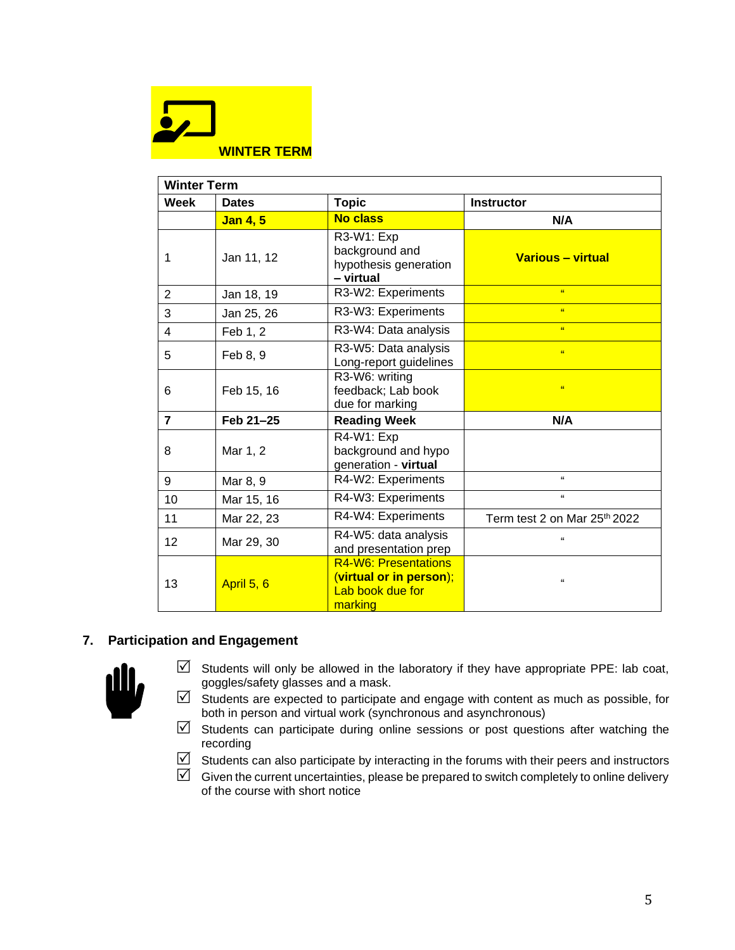

| <b>Winter Term</b> |              |                                                                                |                                          |
|--------------------|--------------|--------------------------------------------------------------------------------|------------------------------------------|
| Week               | <b>Dates</b> | <b>Topic</b>                                                                   | <b>Instructor</b>                        |
|                    | Jan 4, 5     | <b>No class</b>                                                                | N/A                                      |
| 1                  | Jan 11, 12   | R3-W1: Exp<br>background and<br>hypothesis generation<br>- virtual             | Various - virtual                        |
| 2                  | Jan 18, 19   | R3-W2: Experiments                                                             | $\alpha$                                 |
| 3                  | Jan 25, 26   | R3-W3: Experiments                                                             | $\alpha$                                 |
| $\overline{4}$     | Feb 1, 2     | R3-W4: Data analysis                                                           | $\alpha$                                 |
| 5                  | Feb 8, 9     | R3-W5: Data analysis<br>Long-report guidelines                                 | $\alpha$                                 |
| 6                  | Feb 15, 16   | R3-W6: writing<br>feedback; Lab book<br>due for marking                        | $\alpha$                                 |
| $\overline{7}$     | Feb 21-25    | <b>Reading Week</b>                                                            | N/A                                      |
| 8                  | Mar 1, 2     | R4-W1: Exp<br>background and hypo<br>generation - virtual                      |                                          |
| 9                  | Mar 8, 9     | R4-W2: Experiments                                                             | $\alpha$                                 |
| 10                 | Mar 15, 16   | R4-W3: Experiments                                                             | $\alpha$                                 |
| 11                 | Mar 22, 23   | R4-W4: Experiments                                                             | Term test 2 on Mar 25 <sup>th</sup> 2022 |
| 12                 | Mar 29, 30   | R4-W5: data analysis<br>and presentation prep                                  | $\mathbf{a}$                             |
| 13                 | April 5, 6   | R4-W6: Presentations<br>(virtual or in person);<br>Lab book due for<br>marking | $\mathbf{G}$                             |

## **7. Participation and Engagement**



- $\triangledown$  Students will only be allowed in the laboratory if they have appropriate PPE: lab coat, goggles/safety glasses and a mask.
- $\boxdot$  Students are expected to participate and engage with content as much as possible, for both in person and virtual work (synchronous and asynchronous)
- $\boxdot$  Students can participate during online sessions or post questions after watching the recording
- $\boxdot$  Students can also participate by interacting in the forums with their peers and instructors
- $\boxdot$  Given the current uncertainties, please be prepared to switch completely to online delivery of the course with short notice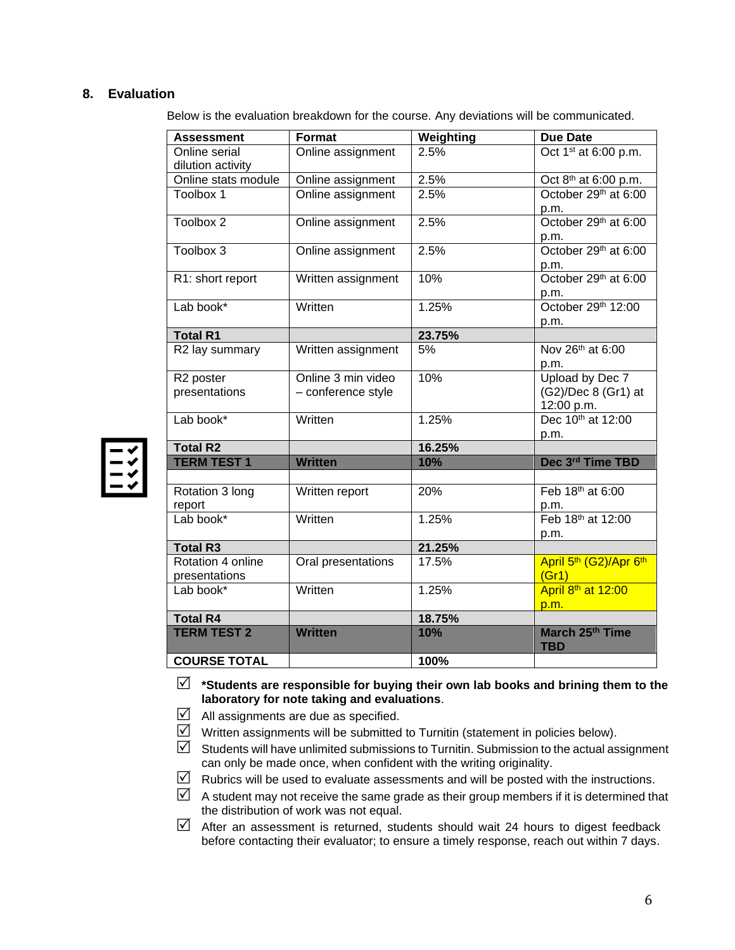### **8. Evaluation**

Below is the evaluation breakdown for the course. Any deviations will be communicated.

| <b>Assessment</b>                  | Format             | Weighting | Due Date                                                |
|------------------------------------|--------------------|-----------|---------------------------------------------------------|
| Online serial                      | Online assignment  | 2.5%      | Oct 1 <sup>st</sup> at 6:00 p.m.                        |
| dilution activity                  |                    |           |                                                         |
| Online stats module                | Online assignment  | 2.5%      | Oct 8 <sup>th</sup> at 6:00 p.m.                        |
| Toolbox 1                          | Online assignment  | 2.5%      | October 29th at 6:00                                    |
|                                    |                    |           | p.m.                                                    |
| Toolbox 2                          | Online assignment  | 2.5%      | October 29th at 6:00                                    |
|                                    |                    |           | p.m.                                                    |
| Toolbox 3                          | Online assignment  | 2.5%      | October 29th at 6:00                                    |
|                                    |                    |           | p.m.                                                    |
| R1: short report                   | Written assignment | 10%       | October 29th at 6:00                                    |
|                                    |                    |           | p.m.                                                    |
| Lab book*                          | Written            | 1.25%     | October 29th 12:00                                      |
|                                    |                    |           | p.m.                                                    |
| <b>Total R1</b>                    |                    | 23.75%    |                                                         |
| R2 lay summary                     | Written assignment | 5%        | Nov 26 <sup>th</sup> at 6:00                            |
|                                    |                    |           | p.m.                                                    |
| R <sub>2</sub> poster              | Online 3 min video | 10%       | Upload by Dec 7                                         |
| presentations                      | - conference style |           | (G2)/Dec 8 (Gr1) at                                     |
|                                    |                    |           | 12:00 p.m.                                              |
| Lab book*                          | Written            | 1.25%     | Dec 10 <sup>th</sup> at 12:00                           |
|                                    |                    |           | p.m.                                                    |
| <b>Total R2</b>                    |                    | 16.25%    |                                                         |
| <b>TERM TEST 1</b>                 | <b>Written</b>     | 10%       | Dec 3rd Time TBD                                        |
|                                    |                    |           |                                                         |
| Rotation 3 long                    | Written report     | 20%       | Feb 18 <sup>th</sup> at 6:00                            |
| report                             |                    |           | p.m.                                                    |
| Lab book*                          | Written            | 1.25%     | Feb 18 <sup>th</sup> at 12:00                           |
| <b>Total R3</b>                    |                    |           | p.m.                                                    |
|                                    |                    | 21.25%    |                                                         |
| Rotation 4 online<br>presentations | Oral presentations | 17.5%     | April 5 <sup>th</sup> (G2)/Apr 6 <sup>th</sup><br>(Gr1) |
| Lab book*                          | Written            | 1.25%     | April 8 <sup>th</sup> at 12:00                          |
|                                    |                    |           | p.m.                                                    |
| <b>Total R4</b>                    |                    | 18.75%    |                                                         |
| <b>TERM TEST 2</b>                 | <b>Written</b>     | 10%       | March 25th Time<br><b>TBD</b>                           |
| <b>COURSE TOTAL</b>                |                    | 100%      |                                                         |

 **\*Students are responsible for buying their own lab books and brining them to the laboratory for note taking and evaluations**.

- $\boxtimes$  All assignments are due as specified.
- $\triangledown$  Written assignments will be submitted to Turnitin (statement in policies below).
- $\boxtimes$  Students will have unlimited submissions to Turnitin. Submission to the actual assignment can only be made once, when confident with the writing originality.
- $\boxtimes$  Rubrics will be used to evaluate assessments and will be posted with the instructions.
- $\boxtimes$  A student may not receive the same grade as their group members if it is determined that the distribution of work was not equal.
- $\triangledown$  After an assessment is returned, students should wait 24 hours to digest feedback before contacting their evaluator; to ensure a timely response, reach out within 7 days.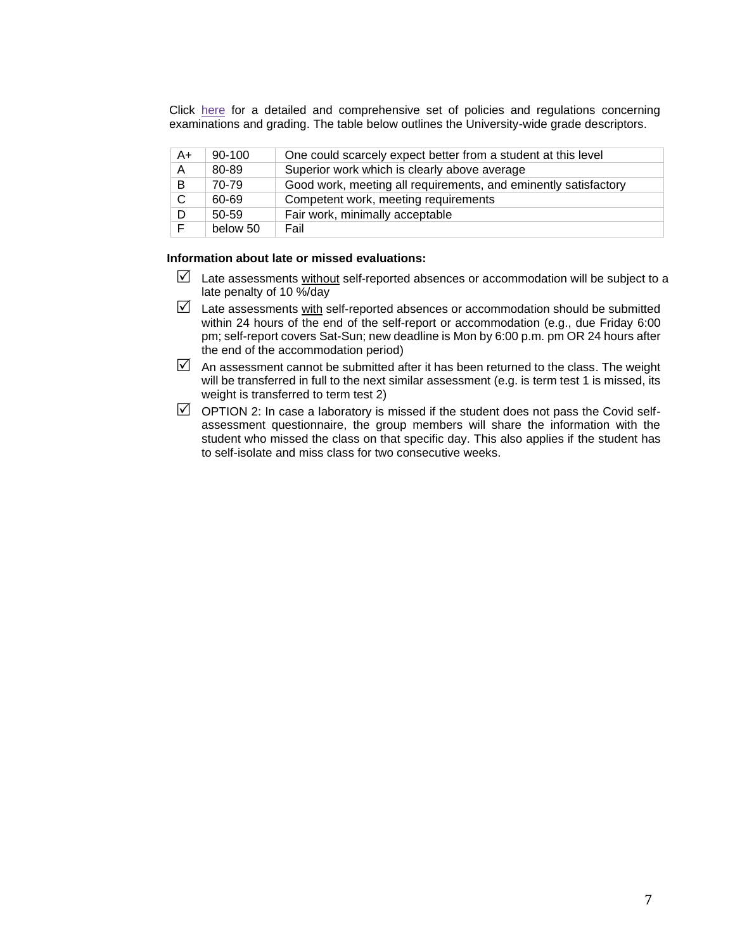Click [here](https://www.westerncalendar.uwo.ca/PolicyPages.cfm?Command=showCategory&PolicyCategoryID=5&SelectedCalendar=Live&ArchiveID=#SubHeading_73) for a detailed and comprehensive set of policies and regulations concerning examinations and grading. The table below outlines the University-wide grade descriptors.

| A+ | $90 - 100$ | One could scarcely expect better from a student at this level   |
|----|------------|-----------------------------------------------------------------|
| A  | 80-89      | Superior work which is clearly above average                    |
| B  | 70-79      | Good work, meeting all requirements, and eminently satisfactory |
| C. | 60-69      | Competent work, meeting requirements                            |
| D  | $50 - 59$  | Fair work, minimally acceptable                                 |
| E  | below 50   | Fail                                                            |

### **Information about late or missed evaluations:**

- $\boxtimes$  Late assessments without self-reported absences or accommodation will be subject to a late penalty of 10 %/day
- $\boxtimes$  Late assessments with self-reported absences or accommodation should be submitted within 24 hours of the end of the self-report or accommodation (e.g., due Friday 6:00 pm; self-report covers Sat-Sun; new deadline is Mon by 6:00 p.m. pm OR 24 hours after the end of the accommodation period)
- $\boxtimes$  An assessment cannot be submitted after it has been returned to the class. The weight will be transferred in full to the next similar assessment (e.g. is term test 1 is missed, its weight is transferred to term test 2)
- $\boxtimes$  OPTION 2: In case a laboratory is missed if the student does not pass the Covid selfassessment questionnaire, the group members will share the information with the student who missed the class on that specific day. This also applies if the student has to self-isolate and miss class for two consecutive weeks.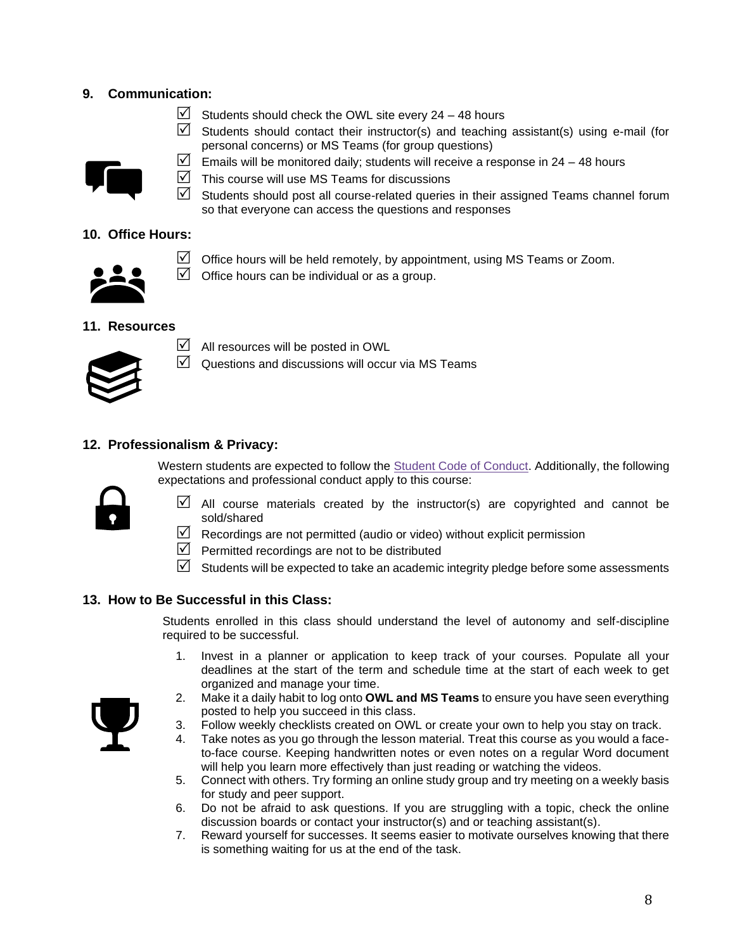## **9. Communication:**

- $\triangleright$  Students should check the OWL site every 24 48 hours
- $\triangledown$  Students should contact their instructor(s) and teaching assistant(s) using e-mail (for personal concerns) or MS Teams (for group questions)



- $\triangledown$  This course will use MS Teams for discussions
- $\triangledown$  Students should post all course-related queries in their assigned Teams channel forum so that everyone can access the questions and responses

## **10. Office Hours:**



 $\boxtimes$  Office hours will be held remotely, by appointment, using MS Teams or Zoom.

 $\Box$  Office hours can be individual or as a group.

## **11. Resources**



 $\Box$  All resources will be posted in OWL

 $\boxtimes$  Questions and discussions will occur via MS Teams

## **12. Professionalism & Privacy:**

Western students are expected to follow the **Student Code of Conduct. Additionally**, the following expectations and professional conduct apply to this course:



- $\boxtimes$  All course materials created by the instructor(s) are copyrighted and cannot be sold/shared
- $\boxtimes$  Recordings are not permitted (audio or video) without explicit permission
- $\triangledown$  Permitted recordings are not to be distributed
- $\boxtimes$  Students will be expected to take an academic integrity pledge before some assessments

## **13. How to Be Successful in this Class:**

Students enrolled in this class should understand the level of autonomy and self-discipline required to be successful.

- 1. Invest in a planner or application to keep track of your courses. Populate all your deadlines at the start of the term and schedule time at the start of each week to get organized and manage your time.
- 2. Make it a daily habit to log onto **OWL and MS Teams** to ensure you have seen everything posted to help you succeed in this class.
- 3. Follow weekly checklists created on OWL or create your own to help you stay on track.
- 4. Take notes as you go through the lesson material. Treat this course as you would a faceto-face course. Keeping handwritten notes or even notes on a regular Word document will help you learn more effectively than just reading or watching the videos.
- 5. Connect with others. Try forming an online study group and try meeting on a weekly basis for study and peer support.
- 6. Do not be afraid to ask questions. If you are struggling with a topic, check the online discussion boards or contact your instructor(s) and or teaching assistant(s).
- 7. Reward yourself for successes. It seems easier to motivate ourselves knowing that there is something waiting for us at the end of the task.

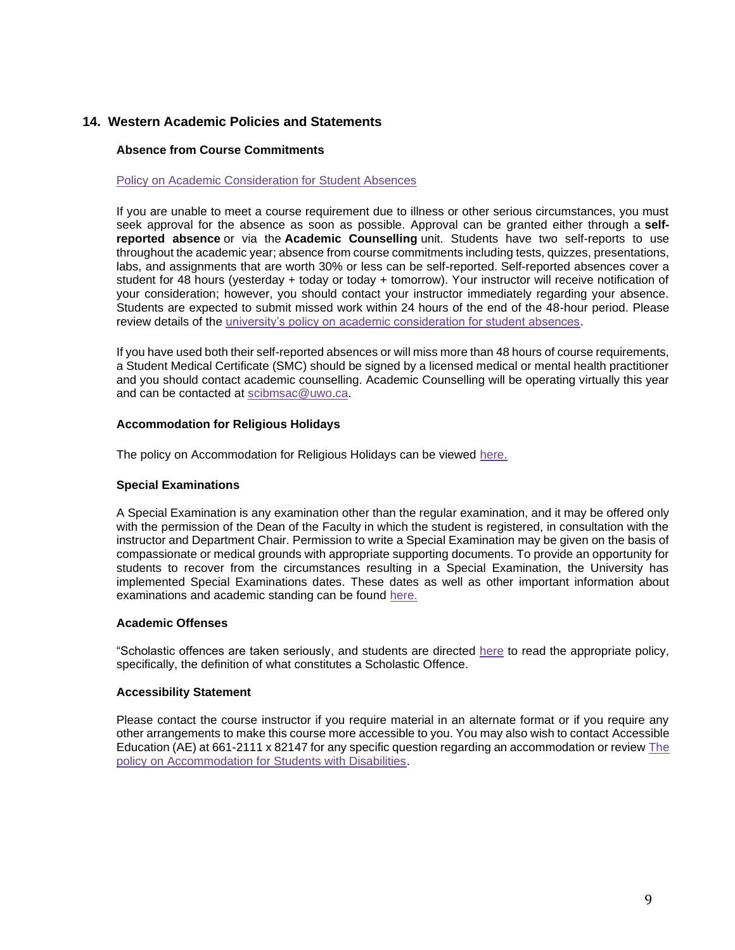### **14. Western Academic Policies and Statements**

### **Absence from Course Commitments**

#### [Policy on Academic Consideration for Student Absences](https://www.uwo.ca/univsec/pdf/academic_policies/appeals/accommodation_illness.pdf)

If you are unable to meet a course requirement due to illness or other serious circumstances, you must seek approval for the absence as soon as possible. Approval can be granted either through a **selfreported absence** or via the **Academic Counselling** unit. Students have two self-reports to use throughout the academic year; absence from course commitments including tests, quizzes, presentations, labs, and assignments that are worth 30% or less can be self-reported. Self-reported absences cover a student for 48 hours (yesterday + today or today + tomorrow). Your instructor will receive notification of your consideration; however, you should contact your instructor immediately regarding your absence. Students are expected to submit missed work within 24 hours of the end of the 48-hour period. Please review details of the [university's policy on academic consideration for student absences.](https://www.uwo.ca/univsec/pdf/academic_policies/appeals/Academic_Consideration_for_absences.pdf)

If you have used both their self-reported absences or will miss more than 48 hours of course requirements, a Student Medical Certificate (SMC) should be signed by a licensed medical or mental health practitioner and you should contact academic counselling. Academic Counselling will be operating virtually this year and can be contacted at [scibmsac@uwo.ca.](mailto:scibmsac@uwo.ca)

#### **Accommodation for Religious Holidays**

The policy on Accommodation for Religious Holidays can be viewed [here.](https://www.uwo.ca/univsec/pdf/academic_policies/appeals/accommodation_religious.pdf)

### **Special Examinations**

A Special Examination is any examination other than the regular examination, and it may be offered only with the permission of the Dean of the Faculty in which the student is registered, in consultation with the instructor and Department Chair. Permission to write a Special Examination may be given on the basis of compassionate or medical grounds with appropriate supporting documents. To provide an opportunity for students to recover from the circumstances resulting in a Special Examination, the University has implemented Special Examinations dates. These dates as well as other important information about examinations and academic standing can be found [here.](http://www.uwo.ca/univsec/pdf/academic_policies/exam/definitions.pdf)

### **Academic Offenses**

"Scholastic offences are taken seriously, and students are directed [here](http://www.uwo.ca/univsec/pdf/academic_policies/appeals/scholastic_discipline_undergrad.pdf) to read the appropriate policy, specifically, the definition of what constitutes a Scholastic Offence.

### **Accessibility Statement**

Please contact the course instructor if you require material in an alternate format or if you require any other arrangements to make this course more accessible to you. You may also wish to contact Accessible Education (AE) at 661-2111 x 82147 for any specific question regarding an accommodation or review [The](https://www.uwo.ca/univsec/pdf/academic_policies/appeals/Academic%20Accommodation_disabilities.pdf)  [policy on Accommodation for Students with Disabilities.](https://www.uwo.ca/univsec/pdf/academic_policies/appeals/Academic%20Accommodation_disabilities.pdf)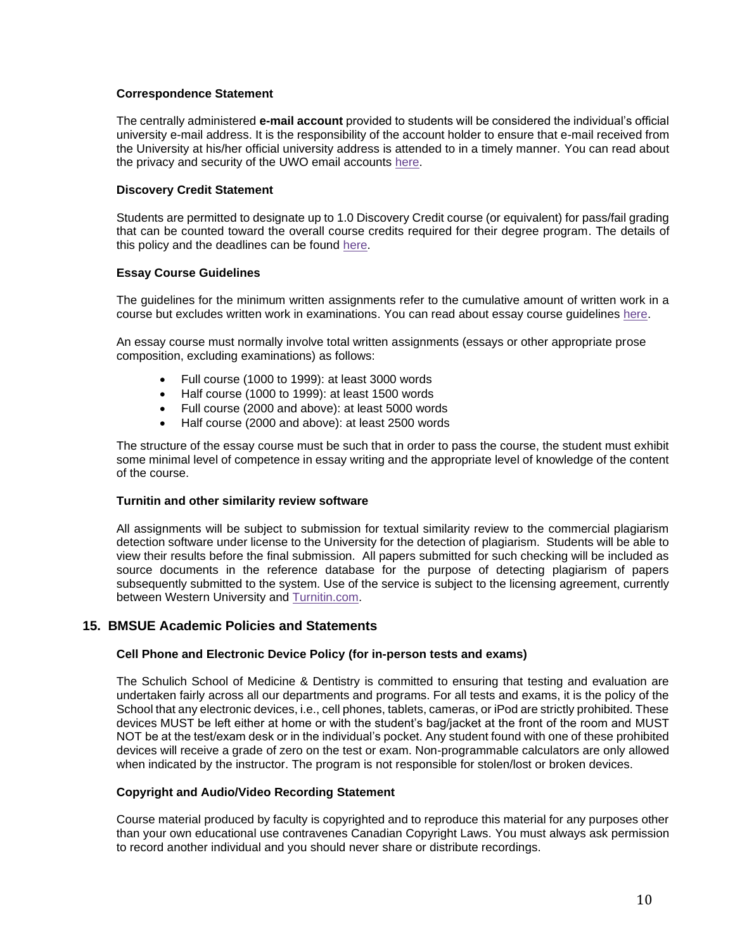### **Correspondence Statement**

The centrally administered **e-mail account** provided to students will be considered the individual's official university e-mail address. It is the responsibility of the account holder to ensure that e-mail received from the University at his/her official university address is attended to in a timely manner. You can read about the privacy and security of the UWO email accounts [here.](https://www.uwo.ca/univsec/privacy/faq.html#ShouldIUse)

### **Discovery Credit Statement**

Students are permitted to designate up to 1.0 Discovery Credit course (or equivalent) for pass/fail grading that can be counted toward the overall course credits required for their degree program. The details of this policy and the deadlines can be found [here.](https://www.uwo.ca/univsec/pdf/academic_policies/registration_progression_grad/coursecredit.pdf)

### **Essay Course Guidelines**

The guidelines for the minimum written assignments refer to the cumulative amount of written work in a course but excludes written work in examinations. You can read about essay course guidelines [here.](https://westerncalendar.uwo.ca/PolicyPages.cfm?Command=showCategory&PolicyCategoryID=6&SelectedCalendar=Live&ArchiveID=#SubHeading_160)

An essay course must normally involve total written assignments (essays or other appropriate prose composition, excluding examinations) as follows:

- Full course (1000 to 1999): at least 3000 words
- Half course (1000 to 1999): at least 1500 words
- Full course (2000 and above): at least 5000 words
- Half course (2000 and above): at least 2500 words

The structure of the essay course must be such that in order to pass the course, the student must exhibit some minimal level of competence in essay writing and the appropriate level of knowledge of the content of the course.

### **Turnitin and other similarity review software**

All assignments will be subject to submission for textual similarity review to the commercial plagiarism detection software under license to the University for the detection of plagiarism. Students will be able to view their results before the final submission. All papers submitted for such checking will be included as source documents in the reference database for the purpose of detecting plagiarism of papers subsequently submitted to the system. Use of the service is subject to the licensing agreement, currently between Western University and [Turnitin.com.](http://www.turnitin.com/)

### **15. BMSUE Academic Policies and Statements**

### **Cell Phone and Electronic Device Policy (for in-person tests and exams)**

The Schulich School of Medicine & Dentistry is committed to ensuring that testing and evaluation are undertaken fairly across all our departments and programs. For all tests and exams, it is the policy of the School that any electronic devices, i.e., cell phones, tablets, cameras, or iPod are strictly prohibited. These devices MUST be left either at home or with the student's bag/jacket at the front of the room and MUST NOT be at the test/exam desk or in the individual's pocket. Any student found with one of these prohibited devices will receive a grade of zero on the test or exam. Non-programmable calculators are only allowed when indicated by the instructor. The program is not responsible for stolen/lost or broken devices.

### **Copyright and Audio/Video Recording Statement**

Course material produced by faculty is copyrighted and to reproduce this material for any purposes other than your own educational use contravenes Canadian Copyright Laws. You must always ask permission to record another individual and you should never share or distribute recordings.